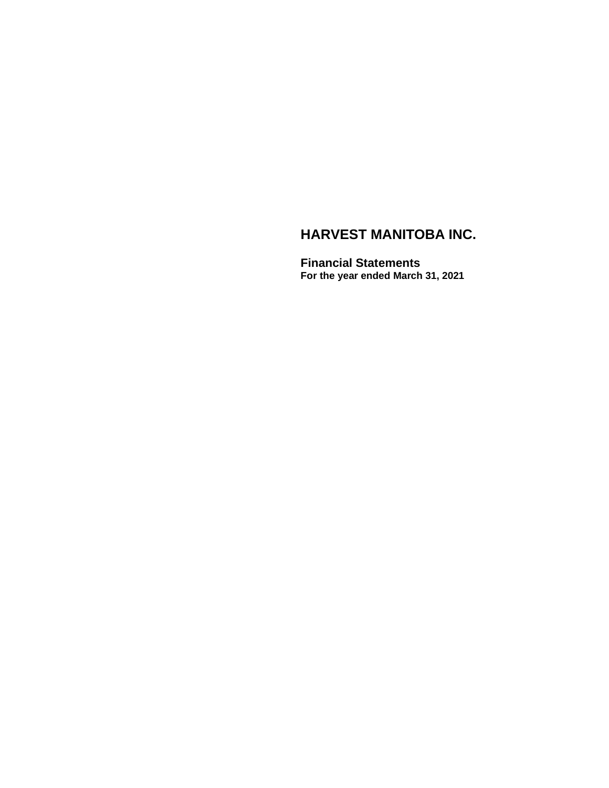## **HARVEST MANITOBA INC.**

**Financial Statements For the year ended March 31, 2021**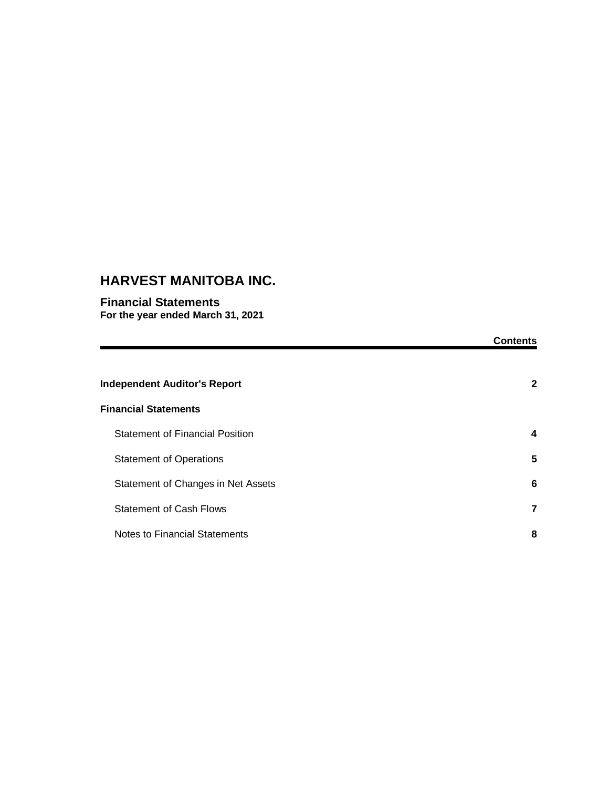# **HARVEST MANITOBA INC.**

# **Financial Statements**

**For the year ended March 31, 2021**

|                                        | <b>Contents</b> |
|----------------------------------------|-----------------|
| <b>Independent Auditor's Report</b>    | $\mathbf{2}$    |
| <b>Financial Statements</b>            |                 |
| <b>Statement of Financial Position</b> | 4               |
| <b>Statement of Operations</b>         | 5               |
| Statement of Changes in Net Assets     | 6               |
| <b>Statement of Cash Flows</b>         | 7               |
| Notes to Financial Statements          | 8               |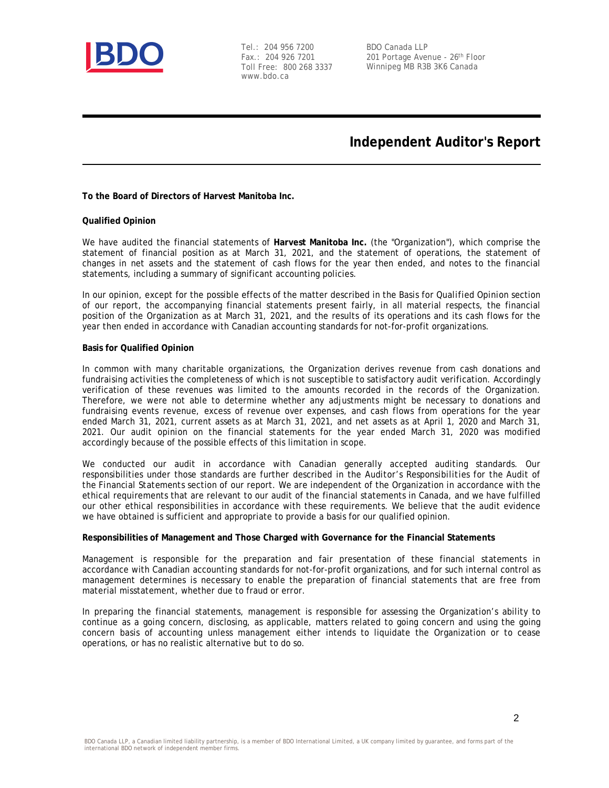

Tel.: 204 956 7200 Fax.: 204 926 7201 Toll Free: 800 268 3337 www.bdo.ca

BDO Canada LLP 201 Portage Avenue - 26<sup>th</sup> Floor Winnipeg MB R3B 3K6 Canada

### **Independent Auditor's Report**

**To the Board of Directors of Harvest Manitoba Inc.**

#### **Qualified Opinion**

We have audited the financial statements of **Harvest Manitoba Inc.** (the "Organization"), which comprise the statement of financial position as at March 31, 2021, and the statement of operations, the statement of changes in net assets and the statement of cash flows for the year then ended, and notes to the financial statements, including a summary of significant accounting policies.

In our opinion, except for the possible effects of the matter described in the *Basis for Qualified Opinion* section of our report, the accompanying financial statements present fairly, in all material respects, the financial position of the Organization as at March 31, 2021, and the results of its operations and its cash flows for the year then ended in accordance with Canadian accounting standards for not-for-profit organizations.

#### **Basis for Qualified Opinion**

In common with many charitable organizations, the Organization derives revenue from cash donations and fundraising activities the completeness of which is not susceptible to satisfactory audit verification. Accordingly verification of these revenues was limited to the amounts recorded in the records of the Organization. Therefore, we were not able to determine whether any adjustments might be necessary to donations and fundraising events revenue, excess of revenue over expenses, and cash flows from operations for the year ended March 31, 2021, current assets as at March 31, 2021, and net assets as at April 1, 2020 and March 31, 2021. Our audit opinion on the financial statements for the year ended March 31, 2020 was modified accordingly because of the possible effects of this limitation in scope.

We conducted our audit in accordance with Canadian generally accepted auditing standards. Our responsibilities under those standards are further described in the *Auditor's Responsibilities for the Audit of the Financial Statements* section of our report. We are independent of the Organization in accordance with the ethical requirements that are relevant to our audit of the financial statements in Canada, and we have fulfilled our other ethical responsibilities in accordance with these requirements. We believe that the audit evidence we have obtained is sufficient and appropriate to provide a basis for our qualified opinion.

**Responsibilities of Management and Those Charged with Governance for the Financial Statements**

Management is responsible for the preparation and fair presentation of these financial statements in accordance with Canadian accounting standards for not-for-profit organizations, and for such internal control as management determines is necessary to enable the preparation of financial statements that are free from material misstatement, whether due to fraud or error.

In preparing the financial statements, management is responsible for assessing the Organization's ability to continue as a going concern, disclosing, as applicable, matters related to going concern and using the going concern basis of accounting unless management either intends to liquidate the Organization or to cease operations, or has no realistic alternative but to do so.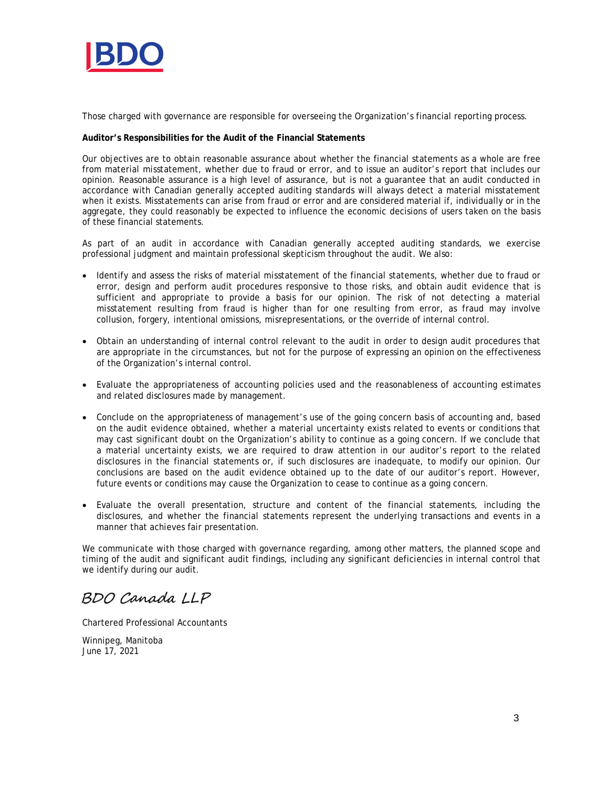

Those charged with governance are responsible for overseeing the Organization's financial reporting process.

**Auditor's Responsibilities for the Audit of the Financial Statements**

Our objectives are to obtain reasonable assurance about whether the financial statements as a whole are free from material misstatement, whether due to fraud or error, and to issue an auditor's report that includes our opinion. Reasonable assurance is a high level of assurance, but is not a guarantee that an audit conducted in accordance with Canadian generally accepted auditing standards will always detect a material misstatement when it exists. Misstatements can arise from fraud or error and are considered material if, individually or in the aggregate, they could reasonably be expected to influence the economic decisions of users taken on the basis of these financial statements.

As part of an audit in accordance with Canadian generally accepted auditing standards, we exercise professional judgment and maintain professional skepticism throughout the audit. We also:

- · Identify and assess the risks of material misstatement of the financial statements, whether due to fraud or error, design and perform audit procedures responsive to those risks, and obtain audit evidence that is sufficient and appropriate to provide a basis for our opinion. The risk of not detecting a material misstatement resulting from fraud is higher than for one resulting from error, as fraud may involve collusion, forgery, intentional omissions, misrepresentations, or the override of internal control.
- · Obtain an understanding of internal control relevant to the audit in order to design audit procedures that are appropriate in the circumstances, but not for the purpose of expressing an opinion on the effectiveness of the Organization's internal control.
- · Evaluate the appropriateness of accounting policies used and the reasonableness of accounting estimates and related disclosures made by management.
- Conclude on the appropriateness of management's use of the going concern basis of accounting and, based on the audit evidence obtained, whether a material uncertainty exists related to events or conditions that may cast significant doubt on the Organization's ability to continue as a going concern. If we conclude that a material uncertainty exists, we are required to draw attention in our auditor's report to the related disclosures in the financial statements or, if such disclosures are inadequate, to modify our opinion. Our conclusions are based on the audit evidence obtained up to the date of our auditor's report. However, future events or conditions may cause the Organization to cease to continue as a going concern.
- · Evaluate the overall presentation, structure and content of the financial statements, including the disclosures, and whether the financial statements represent the underlying transactions and events in a manner that achieves fair presentation.

We communicate with those charged with governance regarding, among other matters, the planned scope and timing of the audit and significant audit findings, including any significant deficiencies in internal control that we identify during our audit.

# BDO Canada LLP

Chartered Professional Accountants

Winnipeg, Manitoba June 17, 2021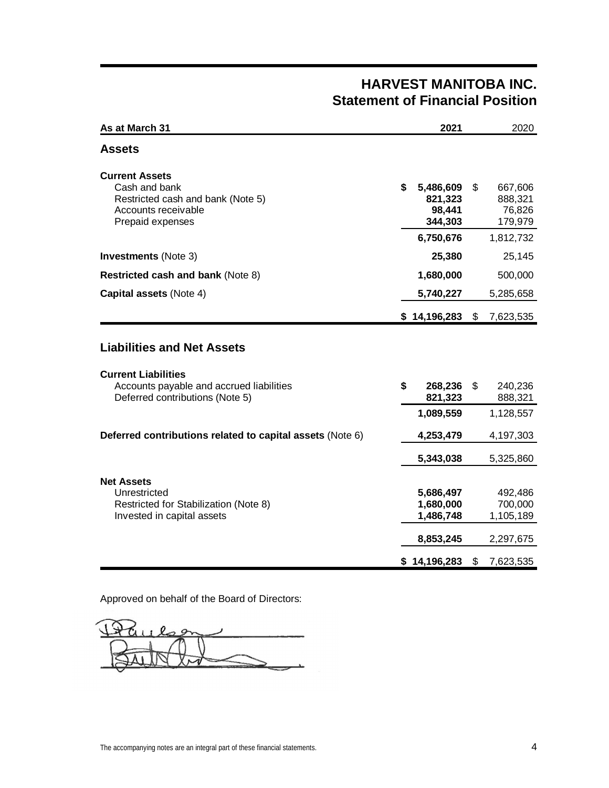## **HARVEST MANITOBA INC. Statement of Financial Position**

| As at March 31                                                                                                         | 2021                                             | 2020                                          |
|------------------------------------------------------------------------------------------------------------------------|--------------------------------------------------|-----------------------------------------------|
| <b>Assets</b>                                                                                                          |                                                  |                                               |
| <b>Current Assets</b><br>Cash and bank<br>Restricted cash and bank (Note 5)<br>Accounts receivable<br>Prepaid expenses | \$<br>5,486,609<br>821,323<br>98,441<br>344,303  | \$<br>667,606<br>888,321<br>76,826<br>179,979 |
| <b>Investments (Note 3)</b>                                                                                            | 6,750,676<br>25,380                              | 1,812,732<br>25,145                           |
| <b>Restricted cash and bank (Note 8)</b>                                                                               | 1,680,000                                        | 500,000                                       |
| Capital assets (Note 4)                                                                                                | 5,740,227                                        | 5,285,658                                     |
|                                                                                                                        | \$14,196,283                                     | \$<br>7,623,535                               |
| <b>Liabilities and Net Assets</b><br><b>Current Liabilities</b>                                                        |                                                  |                                               |
| Accounts payable and accrued liabilities<br>Deferred contributions (Note 5)                                            | \$<br>268,236<br>821,323                         | \$<br>240,236<br>888,321                      |
|                                                                                                                        | 1,089,559                                        | 1,128,557                                     |
| Deferred contributions related to capital assets (Note 6)                                                              | 4,253,479                                        | 4,197,303                                     |
|                                                                                                                        | 5,343,038                                        | 5,325,860                                     |
| <b>Net Assets</b><br>Unrestricted<br>Restricted for Stabilization (Note 8)<br>Invested in capital assets               | 5,686,497<br>1,680,000<br>1,486,748<br>8,853,245 | 492,486<br>700,000<br>1,105,189<br>2,297,675  |
|                                                                                                                        | \$14,196,283                                     | \$<br>7,623,535                               |

Approved on behalf of the Board of Directors:

 $\mathcal{O}$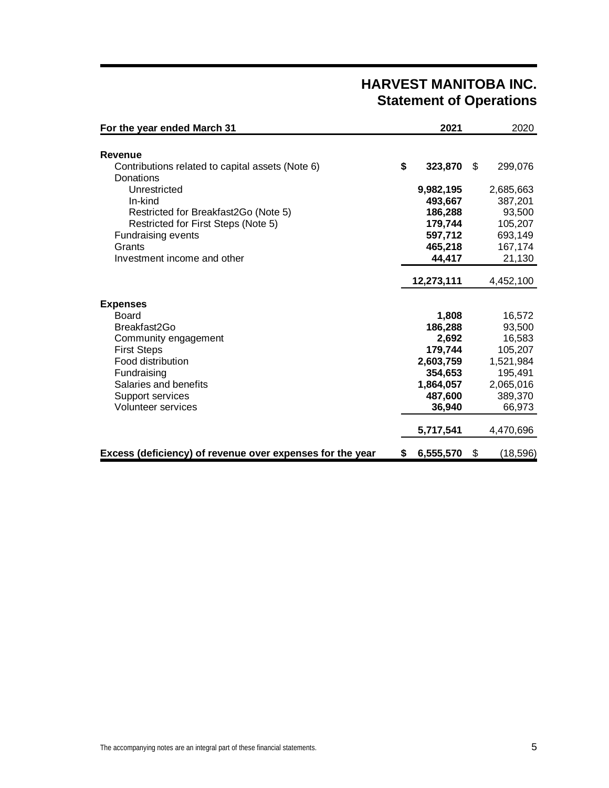## **HARVEST MANITOBA INC. Statement of Operations**

| For the year ended March 31                               |    | 2021       | 2020            |
|-----------------------------------------------------------|----|------------|-----------------|
| Revenue                                                   |    |            |                 |
| Contributions related to capital assets (Note 6)          | \$ | 323,870    | \$<br>299,076   |
| Donations                                                 |    |            |                 |
| Unrestricted                                              |    | 9,982,195  | 2,685,663       |
| In-kind                                                   |    | 493,667    | 387,201         |
| Restricted for Breakfast2Go (Note 5)                      |    | 186,288    | 93,500          |
| Restricted for First Steps (Note 5)                       |    | 179,744    | 105,207         |
| <b>Fundraising events</b>                                 |    | 597,712    | 693,149         |
| Grants                                                    |    | 465,218    | 167,174         |
| Investment income and other                               |    | 44,417     | 21,130          |
|                                                           |    | 12,273,111 | 4,452,100       |
|                                                           |    |            |                 |
| <b>Expenses</b>                                           |    |            |                 |
| Board                                                     |    | 1,808      | 16,572          |
| Breakfast2Go                                              |    | 186,288    | 93,500          |
| Community engagement                                      |    | 2,692      | 16,583          |
| <b>First Steps</b>                                        |    | 179,744    | 105,207         |
| Food distribution                                         |    | 2,603,759  | 1,521,984       |
| Fundraising                                               |    | 354,653    | 195,491         |
| Salaries and benefits                                     |    | 1,864,057  | 2,065,016       |
| Support services                                          |    | 487,600    | 389,370         |
| <b>Volunteer services</b>                                 |    | 36,940     | 66,973          |
|                                                           |    | 5,717,541  | 4,470,696       |
| Excess (deficiency) of revenue over expenses for the year | S. | 6,555,570  | \$<br>(18, 596) |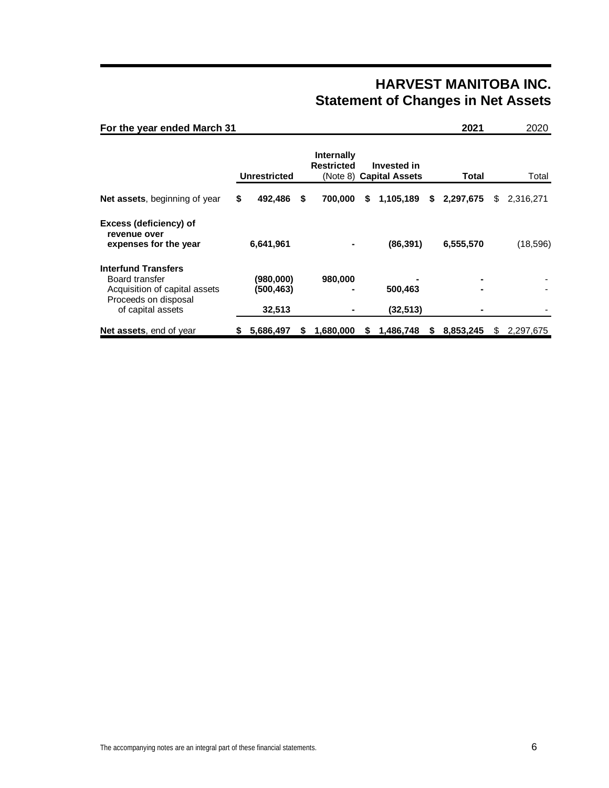## **HARVEST MANITOBA INC. Statement of Changes in Net Assets**

| For the year ended March 31                                                                                                |    |                                   |   |                                        |    |                                        |    | 2021      |    | 2020      |
|----------------------------------------------------------------------------------------------------------------------------|----|-----------------------------------|---|----------------------------------------|----|----------------------------------------|----|-----------|----|-----------|
|                                                                                                                            |    | <b>Unrestricted</b>               |   | <b>Internally</b><br><b>Restricted</b> |    | Invested in<br>(Note 8) Capital Assets |    | Total     |    | Total     |
| <b>Net assets, beginning of year</b>                                                                                       | S  | 492,486                           | S | 700,000                                | \$ | 1,105,189                              | \$ | 2,297,675 | S. | 2,316,271 |
| Excess (deficiency) of<br>revenue over<br>expenses for the year                                                            |    | 6,641,961                         |   |                                        |    | (86, 391)                              |    | 6,555,570 |    | (18, 596) |
| <b>Interfund Transfers</b><br>Board transfer<br>Acquisition of capital assets<br>Proceeds on disposal<br>of capital assets |    | (980,000)<br>(500, 463)<br>32,513 |   | 980,000                                |    | 500,463<br>(32, 513)                   |    |           |    |           |
| Net assets, end of year                                                                                                    | S. | 5,686,497                         | S | 1,680,000                              | S  | 1,486,748                              | S. | 8,853,245 | S  | 2,297,675 |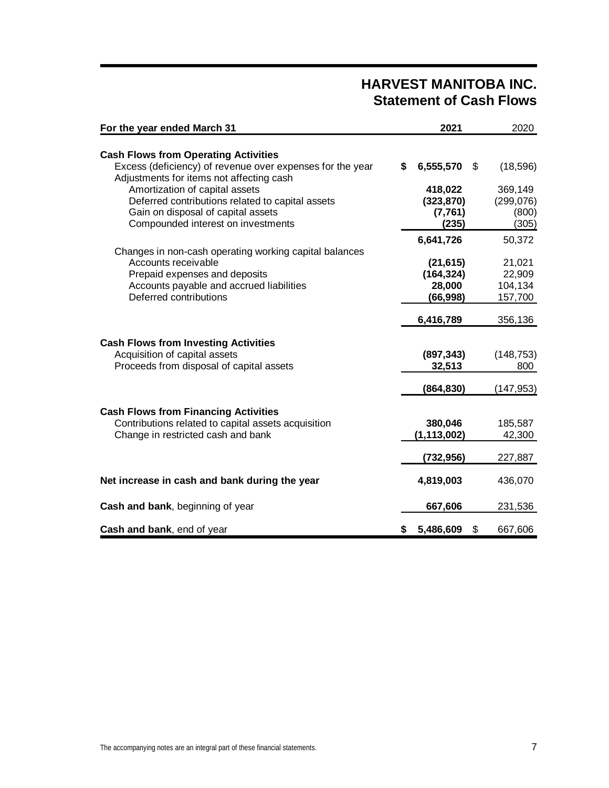## **HARVEST MANITOBA INC. Statement of Cash Flows**

| For the year ended March 31                               |    | 2021          |                           | 2020       |
|-----------------------------------------------------------|----|---------------|---------------------------|------------|
|                                                           |    |               |                           |            |
| <b>Cash Flows from Operating Activities</b>               |    |               |                           |            |
| Excess (deficiency) of revenue over expenses for the year | \$ | 6,555,570     | $\boldsymbol{\mathsf{S}}$ | (18, 596)  |
| Adjustments for items not affecting cash                  |    |               |                           |            |
| Amortization of capital assets                            |    | 418,022       |                           | 369,149    |
| Deferred contributions related to capital assets          |    | (323, 870)    |                           | (299, 076) |
| Gain on disposal of capital assets                        |    | (7, 761)      |                           | (800)      |
| Compounded interest on investments                        |    | (235)         |                           | (305)      |
|                                                           |    | 6,641,726     |                           | 50,372     |
| Changes in non-cash operating working capital balances    |    |               |                           |            |
| Accounts receivable                                       |    | (21, 615)     |                           | 21,021     |
| Prepaid expenses and deposits                             |    | (164, 324)    |                           | 22,909     |
| Accounts payable and accrued liabilities                  |    | 28,000        |                           | 104,134    |
| Deferred contributions                                    |    | (66,998)      |                           | 157,700    |
|                                                           |    | 6,416,789     |                           | 356,136    |
| <b>Cash Flows from Investing Activities</b>               |    |               |                           |            |
| Acquisition of capital assets                             |    | (897, 343)    |                           | (148, 753) |
| Proceeds from disposal of capital assets                  |    | 32,513        |                           | 800        |
|                                                           |    |               |                           |            |
|                                                           |    | (864, 830)    |                           | (147,953)  |
| <b>Cash Flows from Financing Activities</b>               |    |               |                           |            |
| Contributions related to capital assets acquisition       |    | 380,046       |                           | 185,587    |
| Change in restricted cash and bank                        |    | (1, 113, 002) |                           | 42,300     |
|                                                           |    |               |                           |            |
|                                                           |    | (732, 956)    |                           | 227,887    |
| Net increase in cash and bank during the year             |    | 4,819,003     |                           | 436,070    |
| Cash and bank, beginning of year                          |    | 667,606       |                           | 231,536    |
| Cash and bank, end of year                                | S. | 5,486,609     | \$                        | 667,606    |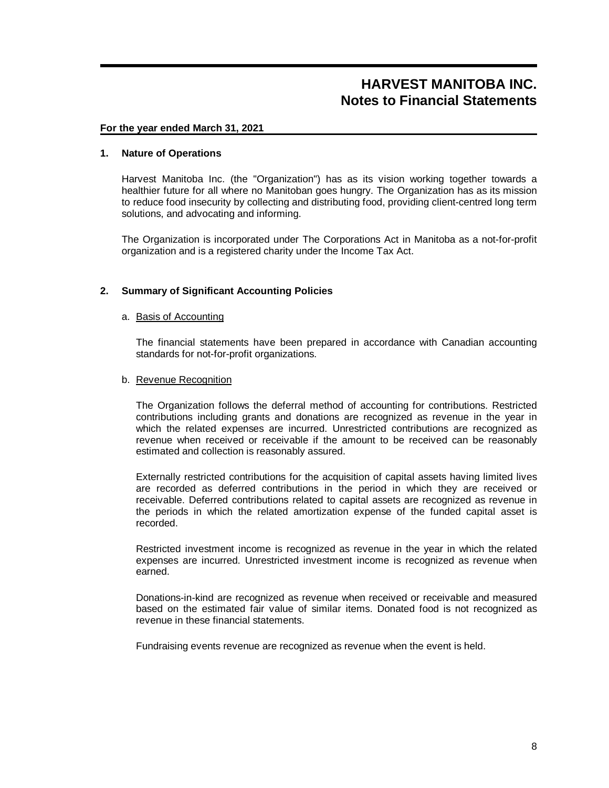#### **For the year ended March 31, 2021**

### **1. Nature of Operations**

Harvest Manitoba Inc. (the "Organization") has as its vision working together towards a healthier future for all where no Manitoban goes hungry. The Organization has as its mission to reduce food insecurity by collecting and distributing food, providing client-centred long term solutions, and advocating and informing.

The Organization is incorporated under The Corporations Act in Manitoba as a not-for-profit organization and is a registered charity under the Income Tax Act.

#### **2. Summary of Significant Accounting Policies**

#### a. Basis of Accounting

The financial statements have been prepared in accordance with Canadian accounting standards for not-for-profit organizations.

#### b. Revenue Recognition

The Organization follows the deferral method of accounting for contributions. Restricted contributions including grants and donations are recognized as revenue in the year in which the related expenses are incurred. Unrestricted contributions are recognized as revenue when received or receivable if the amount to be received can be reasonably estimated and collection is reasonably assured.

Externally restricted contributions for the acquisition of capital assets having limited lives are recorded as deferred contributions in the period in which they are received or receivable. Deferred contributions related to capital assets are recognized as revenue in the periods in which the related amortization expense of the funded capital asset is recorded.

Restricted investment income is recognized as revenue in the year in which the related expenses are incurred. Unrestricted investment income is recognized as revenue when earned.

Donations-in-kind are recognized as revenue when received or receivable and measured based on the estimated fair value of similar items. Donated food is not recognized as revenue in these financial statements.

Fundraising events revenue are recognized as revenue when the event is held.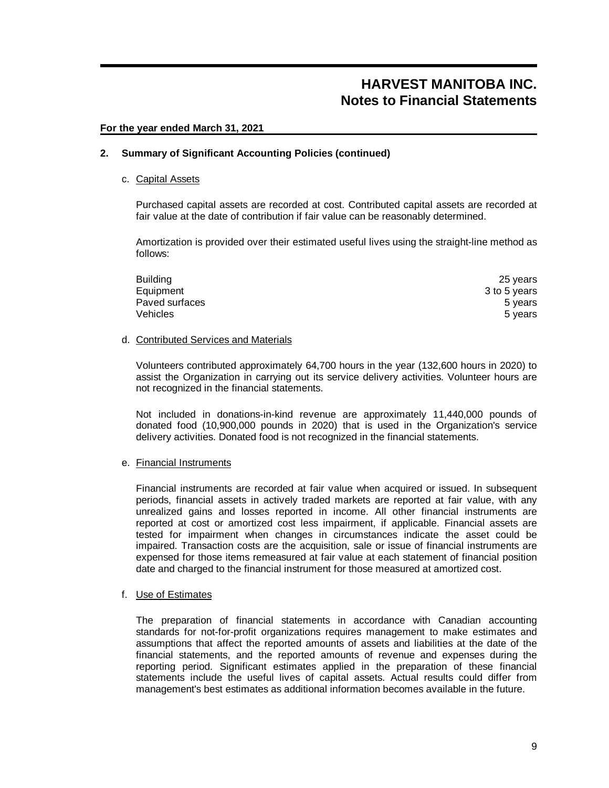#### **For the year ended March 31, 2021**

### **2. Summary of Significant Accounting Policies (continued)**

#### c. Capital Assets

Purchased capital assets are recorded at cost. Contributed capital assets are recorded at fair value at the date of contribution if fair value can be reasonably determined.

Amortization is provided over their estimated useful lives using the straight-line method as follows:

| Building       | 25 years     |
|----------------|--------------|
| Equipment      | 3 to 5 years |
| Paved surfaces | 5 years      |
| Vehicles       | 5 years      |

#### d. Contributed Services and Materials

Volunteers contributed approximately 64,700 hours in the year (132,600 hours in 2020) to assist the Organization in carrying out its service delivery activities. Volunteer hours are not recognized in the financial statements.

Not included in donations-in-kind revenue are approximately 11,440,000 pounds of donated food (10,900,000 pounds in 2020) that is used in the Organization's service delivery activities. Donated food is not recognized in the financial statements.

#### e. Financial Instruments

Financial instruments are recorded at fair value when acquired or issued. In subsequent periods, financial assets in actively traded markets are reported at fair value, with any unrealized gains and losses reported in income. All other financial instruments are reported at cost or amortized cost less impairment, if applicable. Financial assets are tested for impairment when changes in circumstances indicate the asset could be impaired. Transaction costs are the acquisition, sale or issue of financial instruments are expensed for those items remeasured at fair value at each statement of financial position date and charged to the financial instrument for those measured at amortized cost.

#### f. Use of Estimates

The preparation of financial statements in accordance with Canadian accounting standards for not-for-profit organizations requires management to make estimates and assumptions that affect the reported amounts of assets and liabilities at the date of the financial statements, and the reported amounts of revenue and expenses during the reporting period. Significant estimates applied in the preparation of these financial statements include the useful lives of capital assets. Actual results could differ from management's best estimates as additional information becomes available in the future.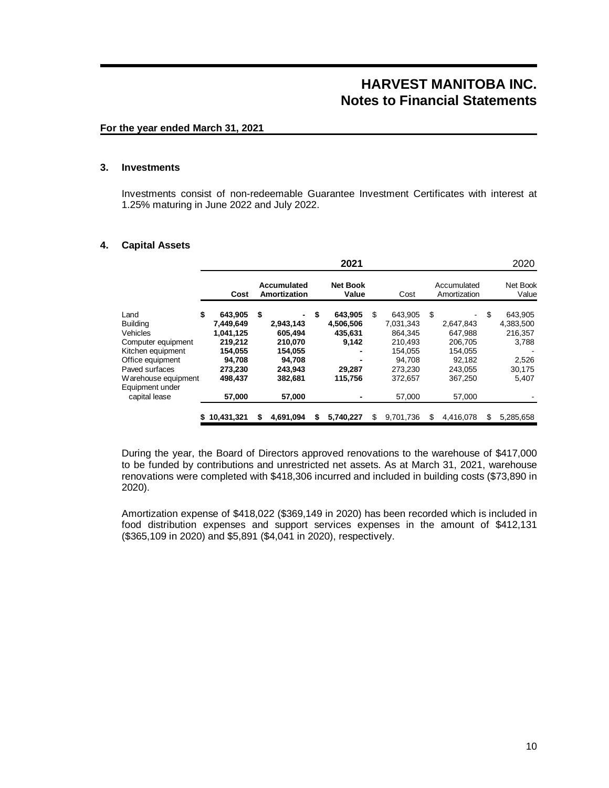#### **For the year ended March 31, 2021**

#### **3. Investments**

Investments consist of non-redeemable Guarantee Investment Certificates with interest at 1.25% maturing in June 2022 and July 2022.

#### **4. Capital Assets**

|                                  |                  |    |                             |    | 2021                     |                 |                             |     | 2020              |
|----------------------------------|------------------|----|-----------------------------|----|--------------------------|-----------------|-----------------------------|-----|-------------------|
|                                  | Cost             |    | Accumulated<br>Amortization |    | <b>Net Book</b><br>Value | Cost            | Accumulated<br>Amortization |     | Net Book<br>Value |
| Land                             | \$<br>643.905    | \$ | $\blacksquare$              | \$ | 643.905                  | \$<br>643.905   | \$<br>$\blacksquare$        | \$  | 643,905           |
| <b>Building</b>                  | 7.449.649        |    | 2,943,143                   |    | 4,506,506                | 7,031,343       | 2.647.843                   |     | 4,383,500         |
| Vehicles                         | 1,041,125        |    | 605.494                     |    | 435.631                  | 864.345         | 647.988                     |     | 216,357           |
| Computer equipment               | 219.212          |    | 210.070                     |    | 9.142                    | 210.493         | 206.705                     |     | 3,788             |
| Kitchen equipment                | 154,055          |    | 154,055                     |    |                          | 154.055         | 154,055                     |     |                   |
| Office equipment                 | 94.708           |    | 94.708                      |    |                          | 94.708          | 92.182                      |     | 2,526             |
| Paved surfaces                   | 273.230          |    | 243.943                     |    | 29.287                   | 273.230         | 243.055                     |     | 30,175            |
| Warehouse equipment              | 498,437          |    | 382,681                     |    | 115,756                  | 372.657         | 367.250                     |     | 5,407             |
| Equipment under<br>capital lease | 57,000           |    | 57,000                      |    |                          | 57,000          | 57,000                      |     |                   |
|                                  | \$<br>10.431.321 | S  | 4.691.094                   | S  | 5.740.227                | \$<br>9.701.736 | \$<br>4.416.078             | \$. | 5.285.658         |

During the year, the Board of Directors approved renovations to the warehouse of \$417,000 to be funded by contributions and unrestricted net assets. As at March 31, 2021, warehouse renovations were completed with \$418,306 incurred and included in building costs (\$73,890 in 2020).

Amortization expense of \$418,022 (\$369,149 in 2020) has been recorded which is included in food distribution expenses and support services expenses in the amount of \$412,131 (\$365,109 in 2020) and \$5,891 (\$4,041 in 2020), respectively.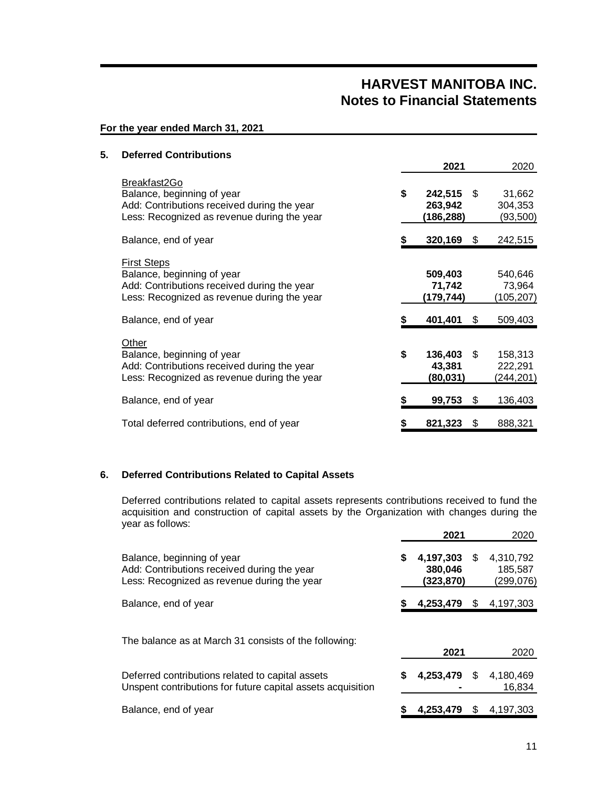### **For the year ended March 31, 2021**

| 5. | <b>Deferred Contributions</b>                                                                                                                  |                                          |     |                                 |
|----|------------------------------------------------------------------------------------------------------------------------------------------------|------------------------------------------|-----|---------------------------------|
|    |                                                                                                                                                | 2021                                     |     | 2020                            |
|    | Breakfast2Go<br>Balance, beginning of year<br>Add: Contributions received during the year<br>Less: Recognized as revenue during the year       | \$<br>242,515 \$<br>263,942<br>(186,288) |     | 31,662<br>304,353<br>(93, 500)  |
|    | Balance, end of year                                                                                                                           | 320,169                                  | \$  | 242,515                         |
|    | <b>First Steps</b><br>Balance, beginning of year<br>Add: Contributions received during the year<br>Less: Recognized as revenue during the year | 509,403<br>71,742<br>(179,744)           |     | 540,646<br>73,964<br>(105, 207) |
|    | Balance, end of year                                                                                                                           | 401,401                                  | \$  | 509,403                         |
|    | Other<br>Balance, beginning of year<br>Add: Contributions received during the year<br>Less: Recognized as revenue during the year              | \$<br>136,403<br>43,381<br>(80,031)      | \$. | 158,313<br>222,291<br>(244,201) |
|    | Balance, end of year                                                                                                                           | 99,753                                   | S   | 136,403                         |
|    | Total deferred contributions, end of year                                                                                                      | 821,323                                  | S   | 888,321                         |
|    |                                                                                                                                                |                                          |     |                                 |

#### **6. Deferred Contributions Related to Capital Assets**

Deferred contributions related to capital assets represents contributions received to fund the acquisition and construction of capital assets by the Organization with changes during the year as follows: **2021** 2020

|                                                                                                                          |   | LVL I                             |     | ∠∪∠∪                              |
|--------------------------------------------------------------------------------------------------------------------------|---|-----------------------------------|-----|-----------------------------------|
| Balance, beginning of year<br>Add: Contributions received during the year<br>Less: Recognized as revenue during the year | S | 4,197,303<br>380,046<br>(323,870) | \$. | 4,310,792<br>185,587<br>(299,076) |
| Balance, end of year                                                                                                     |   | 4,253,479                         | \$. | 4,197,303                         |
| The balance as at March 31 consists of the following:                                                                    |   | 2021                              |     | 2020                              |
| Deferred contributions related to capital assets<br>Unspent contributions for future capital assets acquisition          |   | 4,253,479                         | \$. | 4,180,469<br>16,834               |
| Balance, end of year                                                                                                     |   | 4,253,479                         | \$. | 4,197,303                         |
|                                                                                                                          |   |                                   |     |                                   |